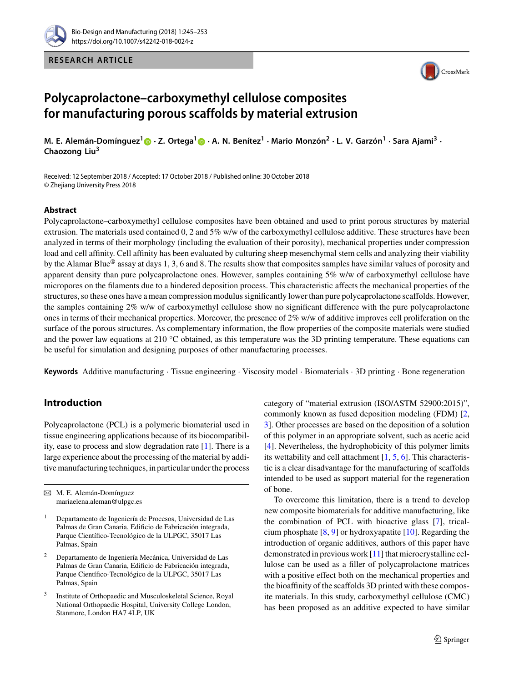

**RESEARCH ARTICLE**



# **Polycaprolactone–carboxymethyl cellulose composites for manufacturing porous scaffolds by material extrusion**

M. E. Alemán-Domínguez<sup>[1](http://orcid.org/0000-0002-7112-1067)</sup> n · Z. Ortega<sup>1</sup> n · A. N. Benítez<sup>1</sup> · Mario Monzón<sup>2</sup> · L. V. Garzón<sup>1</sup> · Sara Ajami<sup>3</sup> · **Chaozong Liu3**

Received: 12 September 2018 / Accepted: 17 October 2018 / Published online: 30 October 2018 © Zhejiang University Press 2018

## **Abstract**

Polycaprolactone–carboxymethyl cellulose composites have been obtained and used to print porous structures by material extrusion. The materials used contained 0, 2 and 5% w/w of the carboxymethyl cellulose additive. These structures have been analyzed in terms of their morphology (including the evaluation of their porosity), mechanical properties under compression load and cell affinity. Cell affinity has been evaluated by culturing sheep mesenchymal stem cells and analyzing their viability by the Alamar Blue<sup>®</sup> assay at days 1, 3, 6 and 8. The results show that composites samples have similar values of porosity and apparent density than pure polycaprolactone ones. However, samples containing 5% w/w of carboxymethyl cellulose have micropores on the filaments due to a hindered deposition process. This characteristic affects the mechanical properties of the structures, so these ones have a mean compression modulus significantly lower than pure polycaprolactone scaffolds. However, the samples containing 2% w/w of carboxymethyl cellulose show no significant difference with the pure polycaprolactone ones in terms of their mechanical properties. Moreover, the presence of 2% w/w of additive improves cell proliferation on the surface of the porous structures. As complementary information, the flow properties of the composite materials were studied and the power law equations at 210  $\degree$ C obtained, as this temperature was the 3D printing temperature. These equations can be useful for simulation and designing purposes of other manufacturing processes.

**Keywords** Additive manufacturing · Tissue engineering · Viscosity model · Biomaterials · 3D printing · Bone regeneration

# **Introduction**

Polycaprolactone (PCL) is a polymeric biomaterial used in tissue engineering applications because of its biocompatibility, ease to process and slow degradation rate [\[1\]](#page-7-0). There is a large experience about the processing of the material by additive manufacturing techniques, in particular under the process

- <sup>2</sup> Departamento de Ingeniería Mecánica, Universidad de Las Palmas de Gran Canaria, Edificio de Fabricación integrada, Parque Científico-Tecnológico de la ULPGC, 35017 Las Palmas, Spain
- <sup>3</sup> Institute of Orthopaedic and Musculoskeletal Science, Royal National Orthopaedic Hospital, University College London, Stanmore, London HA7 4LP, UK

category of "material extrusion (ISO/ASTM 52900:2015)", commonly known as fused deposition modeling (FDM) [\[2,](#page-7-1) [3\]](#page-7-2). Other processes are based on the deposition of a solution of this polymer in an appropriate solvent, such as acetic acid [\[4\]](#page-7-3). Nevertheless, the hydrophobicity of this polymer limits its wettability and cell attachment  $[1, 5, 6]$  $[1, 5, 6]$  $[1, 5, 6]$  $[1, 5, 6]$  $[1, 5, 6]$ . This characteristic is a clear disadvantage for the manufacturing of scaffolds intended to be used as support material for the regeneration of bone.

To overcome this limitation, there is a trend to develop new composite biomaterials for additive manufacturing, like the combination of PCL with bioactive glass [\[7\]](#page-7-6), tricalcium phosphate [\[8,](#page-7-7) [9\]](#page-7-8) or hydroxyapatite [\[10\]](#page-7-9). Regarding the introduction of organic additives, authors of this paper have demonstrated in previous work [\[11\]](#page-7-10) that microcrystalline cellulose can be used as a filler of polycaprolactone matrices with a positive effect both on the mechanical properties and the bioaffinity of the scaffolds 3D printed with these composite materials. In this study, carboxymethyl cellulose (CMC) has been proposed as an additive expected to have similar

B M. E. Alemán-Domínguez mariaelena.aleman@ulpgc.es

<sup>1</sup> Departamento de Ingeniería de Procesos, Universidad de Las Palmas de Gran Canaria, Edificio de Fabricación integrada, Parque Científico-Tecnológico de la ULPGC, 35017 Las Palmas, Spain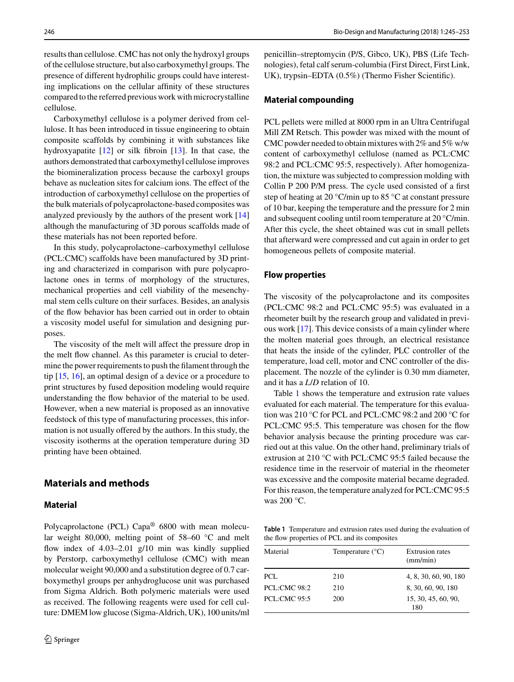results than cellulose. CMC has not only the hydroxyl groups of the cellulose structure, but also carboxymethyl groups. The presence of different hydrophilic groups could have interesting implications on the cellular affinity of these structures compared to the referred previous work with microcrystalline cellulose.

Carboxymethyl cellulose is a polymer derived from cellulose. It has been introduced in tissue engineering to obtain composite scaffolds by combining it with substances like hydroxyapatite [\[12\]](#page-7-11) or silk fibroin [\[13\]](#page-7-12). In that case, the authors demonstrated that carboxymethyl cellulose improves the biomineralization process because the carboxyl groups behave as nucleation sites for calcium ions. The effect of the introduction of carboxymethyl cellulose on the properties of the bulk materials of polycaprolactone-based composites was analyzed previously by the authors of the present work [\[14\]](#page-7-13) although the manufacturing of 3D porous scaffolds made of these materials has not been reported before.

In this study, polycaprolactone–carboxymethyl cellulose (PCL:CMC) scaffolds have been manufactured by 3D printing and characterized in comparison with pure polycaprolactone ones in terms of morphology of the structures, mechanical properties and cell viability of the mesenchymal stem cells culture on their surfaces. Besides, an analysis of the flow behavior has been carried out in order to obtain a viscosity model useful for simulation and designing purposes.

The viscosity of the melt will affect the pressure drop in the melt flow channel. As this parameter is crucial to determine the power requirements to push the filament through the tip [\[15,](#page-7-14) [16\]](#page-7-15), an optimal design of a device or a procedure to print structures by fused deposition modeling would require understanding the flow behavior of the material to be used. However, when a new material is proposed as an innovative feedstock of this type of manufacturing processes, this information is not usually offered by the authors. In this study, the viscosity isotherms at the operation temperature during 3D printing have been obtained.

# **Materials and methods**

# **Material**

Polycaprolactone (PCL) Capa® 6800 with mean molecular weight 80,000, melting point of 58–60 °C and melt flow index of 4.03–2.01 g/10 min was kindly supplied by Perstorp, carboxymethyl cellulose (CMC) with mean molecular weight 90,000 and a substitution degree of 0.7 carboxymethyl groups per anhydroglucose unit was purchased from Sigma Aldrich. Both polymeric materials were used as received. The following reagents were used for cell culture: DMEM low glucose (Sigma-Aldrich, UK), 100 units/ml

penicillin–streptomycin (P/S, Gibco, UK), PBS (Life Technologies), fetal calf serum-columbia (First Direct, First Link, UK), trypsin–EDTA (0.5%) (Thermo Fisher Scientific).

## **Material compounding**

PCL pellets were milled at 8000 rpm in an Ultra Centrifugal Mill ZM Retsch. This powder was mixed with the mount of CMC powder needed to obtain mixtures with 2% and 5% w/w content of carboxymethyl cellulose (named as PCL:CMC 98:2 and PCL:CMC 95:5, respectively). After homogenization, the mixture was subjected to compression molding with Collin P 200 P/M press. The cycle used consisted of a first step of heating at 20 °C/min up to 85 °C at constant pressure of 10 bar, keeping the temperature and the pressure for 2 min and subsequent cooling until room temperature at 20 °C/min. After this cycle, the sheet obtained was cut in small pellets that afterward were compressed and cut again in order to get homogeneous pellets of composite material.

#### **Flow properties**

The viscosity of the polycaprolactone and its composites (PCL:CMC 98:2 and PCL:CMC 95:5) was evaluated in a rheometer built by the research group and validated in previous work [\[17\]](#page-7-16). This device consists of a main cylinder where the molten material goes through, an electrical resistance that heats the inside of the cylinder, PLC controller of the temperature, load cell, motor and CNC controller of the displacement. The nozzle of the cylinder is 0.30 mm diameter, and it has a *L*/*D* relation of 10.

Table [1](#page-1-0) shows the temperature and extrusion rate values evaluated for each material. The temperature for this evaluation was 210 °C for PCL and PCL:CMC 98:2 and 200 °C for PCL:CMC 95:5. This temperature was chosen for the flow behavior analysis because the printing procedure was carried out at this value. On the other hand, preliminary trials of extrusion at 210 °C with PCL:CMC 95:5 failed because the residence time in the reservoir of material in the rheometer was excessive and the composite material became degraded. For this reason, the temperature analyzed for PCL:CMC 95:5 was 200 °C.

<span id="page-1-0"></span>**Table 1** Temperature and extrusion rates used during the evaluation of the flow properties of PCL and its composites

| Material            | Temperature $(^{\circ}C)$ | Extrusion rates<br>(mm/min) |
|---------------------|---------------------------|-----------------------------|
| PCL.                | 210                       | 4, 8, 30, 60, 90, 180       |
| <b>PCL:CMC 98:2</b> | 210                       | 8, 30, 60, 90, 180          |
| <b>PCL:CMC 95:5</b> | 200                       | 15, 30, 45, 60, 90,<br>180  |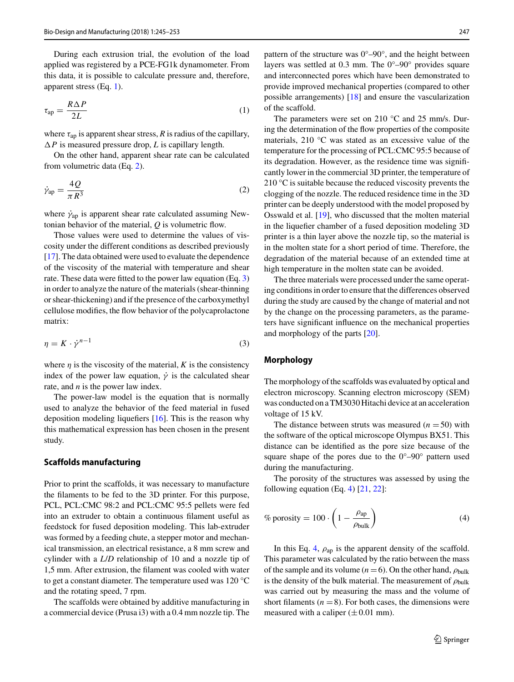During each extrusion trial, the evolution of the load applied was registered by a PCE-FG1k dynamometer. From this data, it is possible to calculate pressure and, therefore, apparent stress (Eq. [1\)](#page-2-0).

$$
\tau_{\rm ap} = \frac{R\,\Delta\,P}{2L} \tag{1}
$$

where  $\tau_{ap}$  is apparent shear stress, *R* is radius of the capillary,  $\Delta P$  is measured pressure drop, *L* is capillary length.

On the other hand, apparent shear rate can be calculated from volumetric data (Eq. [2\)](#page-2-1).

$$
\dot{\gamma}_{\rm ap} = \frac{4Q}{\pi R^3} \tag{2}
$$

where  $\dot{\gamma}_{ap}$  is apparent shear rate calculated assuming Newtonian behavior of the material, *Q* is volumetric flow.

Those values were used to determine the values of viscosity under the different conditions as described previously [\[17\]](#page-7-16). The data obtained were used to evaluate the dependence of the viscosity of the material with temperature and shear rate. These data were fitted to the power law equation (Eq. [3\)](#page-2-2) in order to analyze the nature of the materials (shear-thinning or shear-thickening) and if the presence of the carboxymethyl cellulose modifies, the flow behavior of the polycaprolactone matrix:

$$
\eta = K \cdot \dot{\gamma}^{n-1} \tag{3}
$$

where  $\eta$  is the viscosity of the material, *K* is the consistency index of the power law equation,  $\dot{\gamma}$  is the calculated shear rate, and *n* is the power law index.

The power-law model is the equation that is normally used to analyze the behavior of the feed material in fused deposition modeling liquefiers [\[16\]](#page-7-15). This is the reason why this mathematical expression has been chosen in the present study.

#### **Scaffolds manufacturing**

Prior to print the scaffolds, it was necessary to manufacture the filaments to be fed to the 3D printer. For this purpose, PCL, PCL:CMC 98:2 and PCL:CMC 95:5 pellets were fed into an extruder to obtain a continuous filament useful as feedstock for fused deposition modeling. This lab-extruder was formed by a feeding chute, a stepper motor and mechanical transmission, an electrical resistance, a 8 mm screw and cylinder with a *L*/*D* relationship of 10 and a nozzle tip of 1,5 mm. After extrusion, the filament was cooled with water to get a constant diameter. The temperature used was 120 °C and the rotating speed, 7 rpm.

The scaffolds were obtained by additive manufacturing in a commercial device (Prusa i3) with a 0.4 mm nozzle tip. The pattern of the structure was  $0^{\circ}$ –90°, and the height between layers was settled at 0.3 mm. The 0°–90° provides square and interconnected pores which have been demonstrated to provide improved mechanical properties (compared to other possible arrangements) [\[18\]](#page-7-17) and ensure the vascularization of the scaffold.

<span id="page-2-1"></span><span id="page-2-0"></span>The parameters were set on 210 °C and 25 mm/s. During the determination of the flow properties of the composite materials, 210 °C was stated as an excessive value of the temperature for the processing of PCL:CMC 95:5 because of its degradation. However, as the residence time was significantly lower in the commercial 3D printer, the temperature of 210 °C is suitable because the reduced viscosity prevents the clogging of the nozzle. The reduced residence time in the 3D printer can be deeply understood with the model proposed by Osswald et al. [\[19\]](#page-7-18), who discussed that the molten material in the liquefier chamber of a fused deposition modeling 3D printer is a thin layer above the nozzle tip, so the material is in the molten state for a short period of time. Therefore, the degradation of the material because of an extended time at high temperature in the molten state can be avoided.

The three materials were processed under the same operating conditions in order to ensure that the differences observed during the study are caused by the change of material and not by the change on the processing parameters, as the parameters have significant influence on the mechanical properties and morphology of the parts [\[20\]](#page-7-19).

## <span id="page-2-2"></span>**Morphology**

The morphology of the scaffolds was evaluated by optical and electron microscopy. Scanning electron microscopy (SEM) was conducted on a TM3030 Hitachi device at an acceleration voltage of 15 kV.

The distance between struts was measured  $(n = 50)$  with the software of the optical microscope Olympus BX51. This distance can be identified as the pore size because of the square shape of the pores due to the 0°–90° pattern used during the manufacturing.

The porosity of the structures was assessed by using the following equation (Eq. [4\)](#page-2-3)  $[21, 22]$  $[21, 22]$  $[21, 22]$ :

<span id="page-2-3"></span>
$$
\% \text{ porosity} = 100 \cdot \left( 1 - \frac{\rho_{\text{ap}}}{\rho_{\text{bulk}}} \right) \tag{4}
$$

In this Eq. [4,](#page-2-3)  $\rho_{ap}$  is the apparent density of the scaffold. This parameter was calculated by the ratio between the mass of the sample and its volume  $(n = 6)$ . On the other hand,  $\rho_{\text{bulk}}$ is the density of the bulk material. The measurement of  $\rho_{\rm bulk}$ was carried out by measuring the mass and the volume of short filaments ( $n = 8$ ). For both cases, the dimensions were measured with a caliper  $(\pm 0.01 \text{ mm})$ .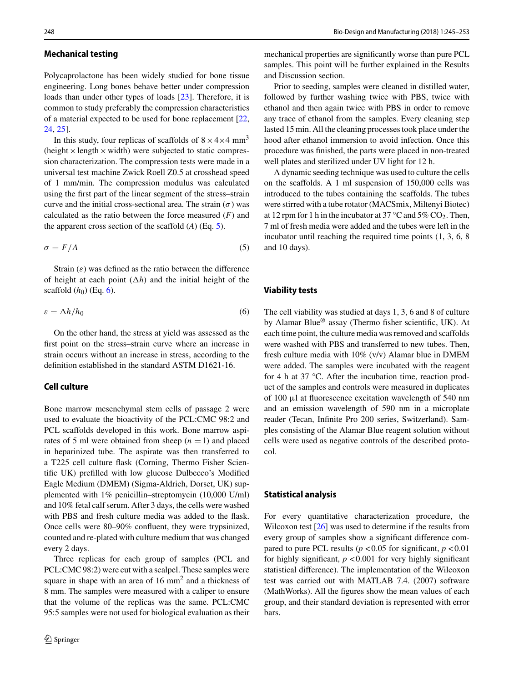## **Mechanical testing**

Polycaprolactone has been widely studied for bone tissue engineering. Long bones behave better under compression loads than under other types of loads [\[23\]](#page-7-22). Therefore, it is common to study preferably the compression characteristics of a material expected to be used for bone replacement [\[22,](#page-7-21) [24,](#page-7-23) [25\]](#page-7-24).

In this study, four replicas of scaffolds of  $8 \times 4 \times 4$  mm<sup>3</sup> (height  $\times$  length  $\times$  width) were subjected to static compression characterization. The compression tests were made in a universal test machine Zwick Roell Z0.5 at crosshead speed of 1 mm/min. The compression modulus was calculated using the first part of the linear segment of the stress–strain curve and the initial cross-sectional area. The strain  $(\sigma)$  was calculated as the ratio between the force measured (*F*) and the apparent cross section of the scaffold (*A*) (Eq. [5\)](#page-3-0).

$$
\sigma = F/A \tag{5}
$$

Strain  $(\varepsilon)$  was defined as the ratio between the difference of height at each point  $(\Delta h)$  and the initial height of the scaffold  $(h_0)$  (Eq. [6\)](#page-3-1).

$$
\varepsilon = \Delta h / h_0 \tag{6}
$$

On the other hand, the stress at yield was assessed as the first point on the stress–strain curve where an increase in strain occurs without an increase in stress, according to the definition established in the standard ASTM D1621-16.

## **Cell culture**

Bone marrow mesenchymal stem cells of passage 2 were used to evaluate the bioactivity of the PCL:CMC 98:2 and PCL scaffolds developed in this work. Bone marrow aspirates of 5 ml were obtained from sheep  $(n = 1)$  and placed in heparinized tube. The aspirate was then transferred to a T225 cell culture flask (Corning, Thermo Fisher Scientific UK) prefilled with low glucose Dulbecco's Modified Eagle Medium (DMEM) (Sigma-Aldrich, Dorset, UK) supplemented with 1% penicillin–streptomycin (10,000 U/ml) and 10% fetal calf serum. After 3 days, the cells were washed with PBS and fresh culture media was added to the flask. Once cells were 80–90% confluent, they were trypsinized, counted and re-plated with culture medium that was changed every 2 days.

Three replicas for each group of samples (PCL and PCL:CMC 98:2) were cut with a scalpel. These samples were square in shape with an area of  $16 \text{ mm}^2$  and a thickness of 8 mm. The samples were measured with a caliper to ensure that the volume of the replicas was the same. PCL:CMC 95:5 samples were not used for biological evaluation as their

mechanical properties are significantly worse than pure PCL samples. This point will be further explained in the Results and Discussion section.

Prior to seeding, samples were cleaned in distilled water, followed by further washing twice with PBS, twice with ethanol and then again twice with PBS in order to remove any trace of ethanol from the samples. Every cleaning step lasted 15 min. All the cleaning processes took place under the hood after ethanol immersion to avoid infection. Once this procedure was finished, the parts were placed in non-treated well plates and sterilized under UV light for 12 h.

A dynamic seeding technique was used to culture the cells on the scaffolds. A 1 ml suspension of 150,000 cells was introduced to the tubes containing the scaffolds. The tubes were stirred with a tube rotator (MACSmix, Miltenyi Biotec) at 12 rpm for 1 h in the incubator at 37 °C and  $5\%$  CO<sub>2</sub>. Then, 7 ml of fresh media were added and the tubes were left in the incubator until reaching the required time points (1, 3, 6, 8 and 10 days).

#### <span id="page-3-0"></span>**Viability tests**

<span id="page-3-1"></span>The cell viability was studied at days 1, 3, 6 and 8 of culture by Alamar Blue® assay (Thermo fisher scientific, UK). At each time point, the culture media was removed and scaffolds were washed with PBS and transferred to new tubes. Then, fresh culture media with 10% (v/v) Alamar blue in DMEM were added. The samples were incubated with the reagent for 4 h at 37 °C. After the incubation time, reaction product of the samples and controls were measured in duplicates of 100 μl at fluorescence excitation wavelength of 540 nm and an emission wavelength of 590 nm in a microplate reader (Tecan, Infinite Pro 200 series, Switzerland). Samples consisting of the Alamar Blue reagent solution without cells were used as negative controls of the described protocol.

#### **Statistical analysis**

For every quantitative characterization procedure, the Wilcoxon test [\[26\]](#page-8-0) was used to determine if the results from every group of samples show a significant difference compared to pure PCL results ( $p < 0.05$  for significant,  $p < 0.01$ for highly significant,  $p < 0.001$  for very highly significant statistical difference). The implementation of the Wilcoxon test was carried out with MATLAB 7.4. (2007) software (MathWorks). All the figures show the mean values of each group, and their standard deviation is represented with error bars.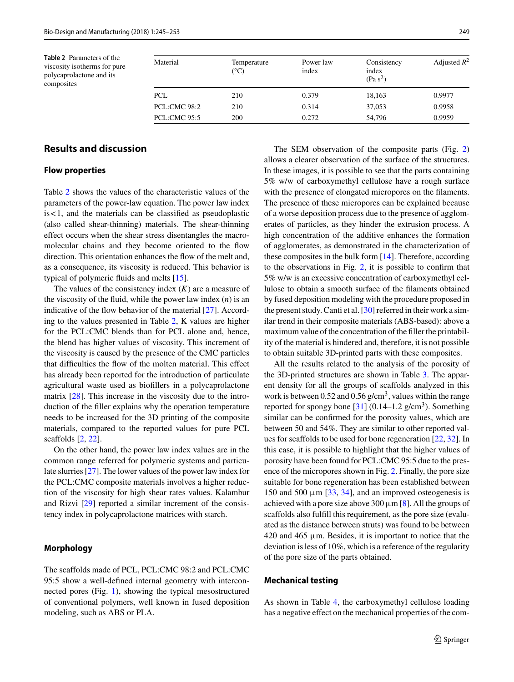<span id="page-4-0"></span>**Table 2** Parameters of the viscosity isotherms for pure polycaprolactone and its composites

| Material            | Temperature<br>$({}^{\circ}C)$ | Power law<br>index | Consistency<br>index<br>(Pa s <sup>2</sup> ) | Adjusted $R^2$ |
|---------------------|--------------------------------|--------------------|----------------------------------------------|----------------|
| <b>PCL</b>          | 210                            | 0.379              | 18,163                                       | 0.9977         |
| PCL:CMC 98:2        | 210                            | 0.314              | 37,053                                       | 0.9958         |
| <b>PCL:CMC 95:5</b> | 200                            | 0.272              | 54.796                                       | 0.9959         |

# **Results and discussion**

## **Flow properties**

Table [2](#page-4-0) shows the values of the characteristic values of the parameters of the power-law equation. The power law index is < 1, and the materials can be classified as pseudoplastic (also called shear-thinning) materials. The shear-thinning effect occurs when the shear stress disentangles the macromolecular chains and they become oriented to the flow direction. This orientation enhances the flow of the melt and, as a consequence, its viscosity is reduced. This behavior is typical of polymeric fluids and melts [\[15\]](#page-7-14).

The values of the consistency index (*K*) are a measure of the viscosity of the fluid, while the power law index (*n*) is an indicative of the flow behavior of the material [\[27\]](#page-8-1). According to the values presented in Table [2,](#page-4-0) K values are higher for the PCL:CMC blends than for PCL alone and, hence, the blend has higher values of viscosity. This increment of the viscosity is caused by the presence of the CMC particles that difficulties the flow of the molten material. This effect has already been reported for the introduction of particulate agricultural waste used as biofillers in a polycaprolactone matrix [\[28\]](#page-8-2). This increase in the viscosity due to the introduction of the filler explains why the operation temperature needs to be increased for the 3D printing of the composite materials, compared to the reported values for pure PCL scaffolds [\[2,](#page-7-1) [22\]](#page-7-21).

On the other hand, the power law index values are in the common range referred for polymeric systems and particulate slurries [\[27\]](#page-8-1). The lower values of the power law index for the PCL:CMC composite materials involves a higher reduction of the viscosity for high shear rates values. Kalambur and Rizvi [\[29\]](#page-8-3) reported a similar increment of the consistency index in polycaprolactone matrices with starch.

## **Morphology**

The scaffolds made of PCL, PCL:CMC 98:2 and PCL:CMC 95:5 show a well-defined internal geometry with interconnected pores (Fig. [1\)](#page-5-0), showing the typical mesostructured of conventional polymers, well known in fused deposition modeling, such as ABS or PLA.

The SEM observation of the composite parts (Fig. [2\)](#page-5-1) allows a clearer observation of the surface of the structures. In these images, it is possible to see that the parts containing 5% w/w of carboxymethyl cellulose have a rough surface with the presence of elongated micropores on the filaments. The presence of these micropores can be explained because of a worse deposition process due to the presence of agglomerates of particles, as they hinder the extrusion process. A high concentration of the additive enhances the formation of agglomerates, as demonstrated in the characterization of these composites in the bulk form [\[14\]](#page-7-13). Therefore, according to the observations in Fig. [2,](#page-5-1) it is possible to confirm that 5% w/w is an excessive concentration of carboxymethyl cellulose to obtain a smooth surface of the filaments obtained by fused deposition modeling with the procedure proposed in the present study. Canti et al.  $[30]$  referred in their work a similar trend in their composite materials (ABS-based): above a maximum value of the concentration of the filler the printability of the material is hindered and, therefore, it is not possible to obtain suitable 3D-printed parts with these composites.

All the results related to the analysis of the porosity of the 3D-printed structures are shown in Table [3.](#page-6-0) The apparent density for all the groups of scaffolds analyzed in this work is between 0.52 and 0.56 g/cm<sup>3</sup>, values within the range reported for spongy bone  $[31]$  (0.14–1.2 g/cm<sup>3</sup>). Something similar can be confirmed for the porosity values, which are between 50 and 54%. They are similar to other reported values for scaffolds to be used for bone regeneration [\[22,](#page-7-21) [32\]](#page-8-6). In this case, it is possible to highlight that the higher values of porosity have been found for PCL:CMC 95:5 due to the presence of the micropores shown in Fig. [2.](#page-5-1) Finally, the pore size suitable for bone regeneration has been established between 150 and 500  $\mu$ m [\[33,](#page-8-7) [34\]](#page-8-8), and an improved osteogenesis is achieved with a pore size above 300  $\mu$ m [\[8\]](#page-7-7). All the groups of scaffolds also fulfill this requirement, as the pore size (evaluated as the distance between struts) was found to be between  $420$  and  $465 \mu m$ . Besides, it is important to notice that the deviation is less of 10%, which is a reference of the regularity of the pore size of the parts obtained.

## **Mechanical testing**

As shown in Table [4,](#page-6-1) the carboxymethyl cellulose loading has a negative effect on the mechanical properties of the com-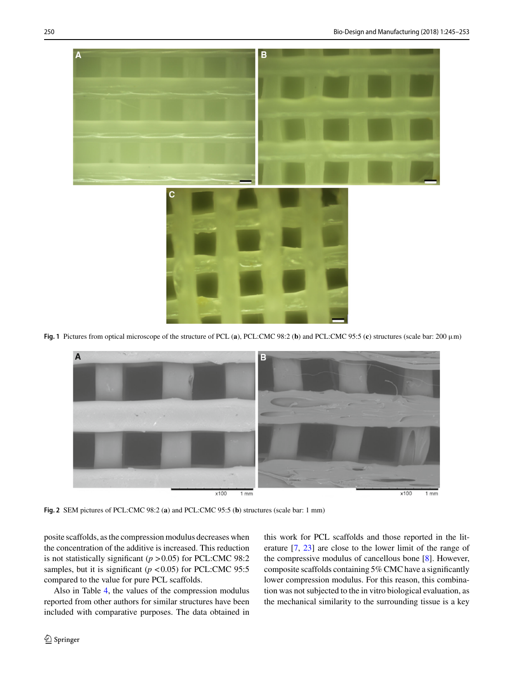

**Fig. 1** Pictures from optical microscope of the structure of PCL (**a**), PCL:CMC 98:2 (**b**) and PCL:CMC 95:5 (**c**) structures (scale bar: 200 μm)

<span id="page-5-0"></span>

<span id="page-5-1"></span>**Fig. 2** SEM pictures of PCL:CMC 98:2 (**a**) and PCL:CMC 95:5 (**b**) structures (scale bar: 1 mm)

posite scaffolds, as the compression modulus decreases when the concentration of the additive is increased. This reduction is not statistically significant (*p* > 0.05) for PCL:CMC 98:2 samples, but it is significant ( $p < 0.05$ ) for PCL:CMC 95:5 compared to the value for pure PCL scaffolds.

Also in Table [4,](#page-6-1) the values of the compression modulus reported from other authors for similar structures have been included with comparative purposes. The data obtained in this work for PCL scaffolds and those reported in the literature [\[7,](#page-7-6) [23\]](#page-7-22) are close to the lower limit of the range of the compressive modulus of cancellous bone [\[8\]](#page-7-7). However, composite scaffolds containing 5% CMC have a significantly lower compression modulus. For this reason, this combination was not subjected to the in vitro biological evaluation, as the mechanical similarity to the surrounding tissue is a key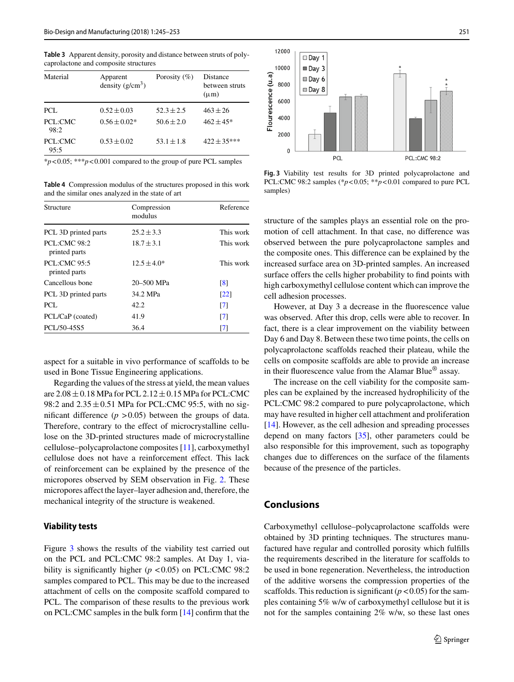<span id="page-6-0"></span>**Table 3** Apparent density, porosity and distance between struts of polycaprolactone and composite structures

| Material        | Apparent<br>density $(g/cm^3)$ | Porosity $(\% )$ | Distance<br>between struts<br>$(\mu m)$ |
|-----------------|--------------------------------|------------------|-----------------------------------------|
| PCL.            | $0.52 \pm 0.03$                | $52.3 \pm 2.5$   | $463 + 26$                              |
| PCL:CMC<br>98:2 | $0.56 \pm 0.02*$               | $50.6 \pm 2.0$   | $462 \pm 45*$                           |
| PCL:CMC<br>95:5 | $0.53 \pm 0.02$                | $53.1 \pm 1.8$   | $422 \pm 35***$                         |

\**p*< 0.05; \*\*\**p*< 0.001 compared to the group of pure PCL samples

<span id="page-6-1"></span>**Table 4** Compression modulus of the structures proposed in this work and the similar ones analyzed in the state of art

| Structure                            | Compression<br>modulus | Reference         |
|--------------------------------------|------------------------|-------------------|
| PCL 3D printed parts                 | $25.2 \pm 3.3$         | This work         |
| <b>PCL:CMC 98:2</b><br>printed parts | $18.7 \pm 3.1$         | This work         |
| <b>PCL:CMC 95:5</b><br>printed parts | $12.5 \pm 4.0*$        | This work         |
| Cancellous bone                      | 20-500 MPa             | $\lceil 8 \rceil$ |
| PCL 3D printed parts                 | 34.2 MPa               | $\left[22\right]$ |
| PCL.                                 | 42.2                   | $\lceil 7 \rceil$ |
| PCL/CaP (coated)                     | 41.9                   | $\lceil 7 \rceil$ |
| PCL/50-45S5                          | 36.4                   | [7]               |

aspect for a suitable in vivo performance of scaffolds to be used in Bone Tissue Engineering applications.

Regarding the values of the stress at yield, the mean values are  $2.08 \pm 0.18$  MPa for PCL  $2.12 \pm 0.15$  MPa for PCL:CMC 98:2 and  $2.35 \pm 0.51$  MPa for PCL:CMC 95:5, with no significant difference  $(p > 0.05)$  between the groups of data. Therefore, contrary to the effect of microcrystalline cellulose on the 3D-printed structures made of microcrystalline cellulose–polycaprolactone composites [\[11\]](#page-7-10), carboxymethyl cellulose does not have a reinforcement effect. This lack of reinforcement can be explained by the presence of the micropores observed by SEM observation in Fig. [2.](#page-5-1) These micropores affect the layer–layer adhesion and, therefore, the mechanical integrity of the structure is weakened.

#### **Viability tests**

Figure [3](#page-6-2) shows the results of the viability test carried out on the PCL and PCL:CMC 98:2 samples. At Day 1, viability is significantly higher (*p* < 0.05) on PCL:CMC 98:2 samples compared to PCL. This may be due to the increased attachment of cells on the composite scaffold compared to PCL. The comparison of these results to the previous work on PCL:CMC samples in the bulk form [\[14\]](#page-7-13) confirm that the



<span id="page-6-2"></span>**Fig. 3** Viability test results for 3D printed polycaprolactone and PCL:CMC 98:2 samples (\**p*< 0.05; \*\**p*< 0.01 compared to pure PCL samples<sup>)</sup>

structure of the samples plays an essential role on the promotion of cell attachment. In that case, no difference was observed between the pure polycaprolactone samples and the composite ones. This difference can be explained by the increased surface area on 3D-printed samples. An increased surface offers the cells higher probability to find points with high carboxymethyl cellulose content which can improve the cell adhesion processes.

However, at Day 3 a decrease in the fluorescence value was observed. After this drop, cells were able to recover. In fact, there is a clear improvement on the viability between Day 6 and Day 8. Between these two time points, the cells on polycaprolactone scaffolds reached their plateau, while the cells on composite scaffolds are able to provide an increase in their fluorescence value from the Alamar Blue® assay.

The increase on the cell viability for the composite samples can be explained by the increased hydrophilicity of the PCL:CMC 98:2 compared to pure polycaprolactone, which may have resulted in higher cell attachment and proliferation [\[14\]](#page-7-13). However, as the cell adhesion and spreading processes depend on many factors [\[35\]](#page-8-9), other parameters could be also responsible for this improvement, such as topography changes due to differences on the surface of the filaments because of the presence of the particles.

# **Conclusions**

Carboxymethyl cellulose–polycaprolactone scaffolds were obtained by 3D printing techniques. The structures manufactured have regular and controlled porosity which fulfills the requirements described in the literature for scaffolds to be used in bone regeneration. Nevertheless, the introduction of the additive worsens the compression properties of the scaffolds. This reduction is significant  $(p < 0.05)$  for the samples containing 5% w/w of carboxymethyl cellulose but it is not for the samples containing 2% w/w, so these last ones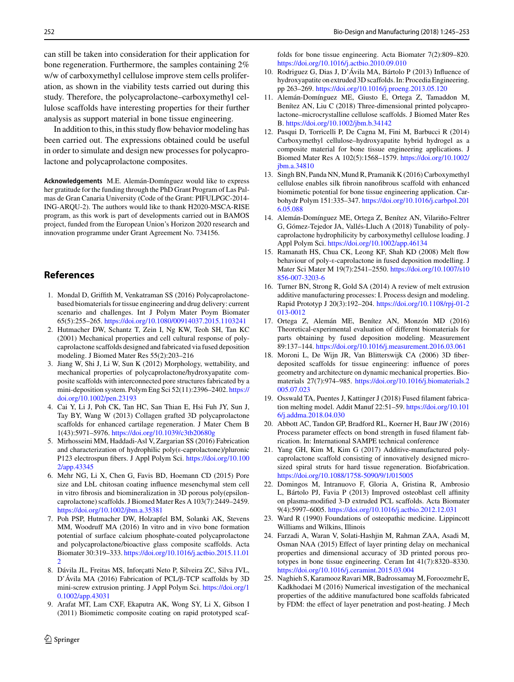can still be taken into consideration for their application for bone regeneration. Furthermore, the samples containing 2% w/w of carboxymethyl cellulose improve stem cells proliferation, as shown in the viability tests carried out during this study. Therefore, the polycaprolactone–carboxymethyl cellulose scaffolds have interesting properties for their further analysis as support material in bone tissue engineering.

In addition to this, in this study flow behavior modeling has been carried out. The expressions obtained could be useful in order to simulate and design new processes for polycaprolactone and polycaprolactone composites.

**Acknowledgements** M.E. Alemán-Domínguez would like to express her gratitude for the funding through the PhD Grant Program of Las Palmas de Gran Canaria University (Code of the Grant: PIFULPGC-2014- ING-ARQU-2). The authors would like to thank H2020-MSCA-RISE program, as this work is part of developments carried out in BAMOS project, funded from the European Union's Horizon 2020 research and innovation programme under Grant Agreement No. 734156.

# **References**

- <span id="page-7-0"></span>1. Mondal D, Griffith M, Venkatraman SS (2016) Polycaprolactonebased biomaterials for tissue engineering and drug delivery: current scenario and challenges. Int J Polym Mater Poym Biomater 65(5):255–265. <https://doi.org/10.1080/00914037.2015.1103241>
- <span id="page-7-1"></span>2. Hutmacher DW, Schantz T, Zein I, Ng KW, Teoh SH, Tan KC (2001) Mechanical properties and cell cultural response of polycaprolactone scaffolds designed and fabricated via fused deposition modeling. J Biomed Mater Res 55(2):203–216
- <span id="page-7-2"></span>3. Jiang W, Shi J, Li W, Sun K (2012) Morphology, wettability, and mechanical properties of polycaprolactone/hydroxyapatite composite scaffolds with interconnected pore structures fabricated by a [mini-deposition system. Polym Eng Sci 52\(11\):2396–2402.](https://doi.org/10.1002/pen.23193) https:// doi.org/10.1002/pen.23193
- <span id="page-7-3"></span>4. Cai Y, Li J, Poh CK, Tan HC, San Thian E, Hsi Fuh JY, Sun J, Tay BY, Wang W (2013) Collagen grafted 3D polycaprolactone scaffolds for enhanced cartilage regeneration. J Mater Chem B 1(43):5971–5976. <https://doi.org/10.1039/c3tb20680g>
- <span id="page-7-4"></span>5. Mirhosseini MM, Haddadi-Asl V, Zargarian SS (2016) Fabrication and characterization of hydrophilic poly(ε-caprolactone)/pluronic [P123 electrospun fibers. J Appl Polym Sci.](https://doi.org/10.1002/app.43345) https://doi.org/10.100 2/app.43345
- <span id="page-7-5"></span>6. Mehr NG, Li X, Chen G, Favis BD, Hoemann CD (2015) Pore size and LbL chitosan coating influence mesenchymal stem cell in vitro fibrosis and biomineralization in 3D porous poly(epsiloncaprolactone) scaffolds. J Biomed Mater Res A 103(7):2449–2459. <https://doi.org/10.1002/jbm.a.35381>
- <span id="page-7-6"></span>7. Poh PSP, Hutmacher DW, Holzapfel BM, Solanki AK, Stevens MM, Woodruff MA (2016) In vitro and in vivo bone formation potential of surface calcium phosphate-coated polycaprolactone and polycaprolactone/bioactive glass composite scaffolds. Acta Biomater 30:319–333. [https://doi.org/10.1016/j.actbio.2015.11.01](https://doi.org/10.1016/j.actbio.2015.11.012) 2
- <span id="page-7-7"></span>8. Dávila JL, Freitas MS, Inforçatti Neto P, Silveira ZC, Silva JVL, D'Ávila MA (2016) Fabrication of PCL/β-TCP scaffolds by 3D [mini-screw extrusion printing. J Appl Polym Sci.](https://doi.org/10.1002/app.43031) https://doi.org/1 0.1002/app.43031
- <span id="page-7-8"></span>9. Arafat MT, Lam CXF, Ekaputra AK, Wong SY, Li X, Gibson I (2011) Biomimetic composite coating on rapid prototyped scaf-

folds for bone tissue engineering. Acta Biomater 7(2):809–820. <https://doi.org/10.1016/j.actbio.2010.09.010>

- <span id="page-7-9"></span>10. Rodriguez G, Dias J, D'Ávila MA, Bártolo P (2013) Influence of hydroxyapatite on extruded 3D scaffolds. In: Procedia Engineering. pp 263–269. <https://doi.org/10.1016/j.proeng.2013.05.120>
- <span id="page-7-10"></span>11. Alemán-Domínguez ME, Giusto E, Ortega Z, Tamaddon M, Benítez AN, Liu C (2018) Three-dimensional printed polycaprolactone–microcrystalline cellulose scaffolds. J Biomed Mater Res B. <https://doi.org/10.1002/jbm.b.34142>
- <span id="page-7-11"></span>12. Pasqui D, Torricelli P, De Cagna M, Fini M, Barbucci R (2014) Carboxymethyl cellulose–hydroxyapatite hybrid hydrogel as a composite material for bone tissue engineering applications. J [Biomed Mater Res A 102\(5\):1568–1579.](https://doi.org/10.1002/jbm.a.34810) https://doi.org/10.1002/ jbm.a.34810
- <span id="page-7-12"></span>13. Singh BN, Panda NN, Mund R, Pramanik K (2016) Carboxymethyl cellulose enables silk fibroin nanofibrous scaffold with enhanced biomimetic potential for bone tissue engineering application. Carbohydr Polym 151:335–347. [https://doi.org/10.1016/j.carbpol.201](https://doi.org/10.1016/j.carbpol.2016.05.088) 6.05.088
- <span id="page-7-13"></span>14. Alemán-Domínguez ME, Ortega Z, Benítez AN, Vilariño-Feltrer G, Gómez-Tejedor JA, Vallés-Lluch A (2018) Tunability of polycaprolactone hydrophilicity by carboxymethyl cellulose loading. J Appl Polym Sci. <https://doi.org/10.1002/app.46134>
- <span id="page-7-14"></span>15. Ramanath HS, Chua CK, Leong KF, Shah KD (2008) Melt flow behaviour of poly-ε-caprolactone in fused deposition modelling. J [Mater Sci Mater M 19\(7\):2541–2550.](https://doi.org/10.1007/s10856-007-3203-6) https://doi.org/10.1007/s10 856-007-3203-6
- <span id="page-7-15"></span>16. Turner BN, Strong R, Gold SA (2014) A review of melt extrusion additive manufacturing processes: I. Process design and modeling. [Rapid Prototyp J 20\(3\):192–204.](https://doi.org/10.1108/rpj-01-2013-0012) https://doi.org/10.1108/rpj-01-2 013-0012
- <span id="page-7-16"></span>17. Ortega Z, Alemán ME, Benítez AN, Monzón MD (2016) Theoretical-experimental evaluation of different biomaterials for parts obtaining by fused deposition modeling. Measurement 89:137–144. <https://doi.org/10.1016/j.measurement.2016.03.061>
- <span id="page-7-17"></span>18. Moroni L, De Wijn JR, Van Blitterswijk CA (2006) 3D fiberdeposited scaffolds for tissue engineering: influence of pores geometry and architecture on dynamic mechanical properties. Biomaterials 27(7):974–985. [https://doi.org/10.1016/j.biomaterials.2](https://doi.org/10.1016/j.biomaterials.2005.07.023) 005.07.023
- <span id="page-7-18"></span>19. Osswald TA, Puentes J, Kattinger J (2018) Fused filament fabrica[tion melting model. Addit Manuf 22:51–59.](https://doi.org/10.1016/j.addma.2018.04.030) https://doi.org/10.101 6/j.addma.2018.04.030
- <span id="page-7-19"></span>20. Abbott AC, Tandon GP, Bradford RL, Koerner H, Baur JW (2016) Process parameter effects on bond strength in fused filament fabrication. In: International SAMPE technical conference
- <span id="page-7-20"></span>21. Yang GH, Kim M, Kim G (2017) Additive-manufactured polycaprolactone scaffold consisting of innovatively designed microsized spiral struts for hard tissue regeneration. Biofabrication. <https://doi.org/10.1088/1758-5090/9/1/015005>
- <span id="page-7-21"></span>22. Domingos M, Intranuovo F, Gloria A, Gristina R, Ambrosio L, Bártolo PJ, Favia P (2013) Improved osteoblast cell affinity on plasma-modified 3-D extruded PCL scaffolds. Acta Biomater 9(4):5997–6005. <https://doi.org/10.1016/j.actbio.2012.12.031>
- <span id="page-7-22"></span>23. Ward R (1990) Foundations of osteopathic medicine. Lippincott Williams and Wilkins, Illinois
- <span id="page-7-23"></span>24. Farzadi A, Waran V, Solati-Hashjin M, Rahman ZAA, Asadi M, Osman NAA (2015) Effect of layer printing delay on mechanical properties and dimensional accuracy of 3D printed porous prototypes in bone tissue engineering. Ceram Int 41(7):8320–8330. <https://doi.org/10.1016/j.ceramint.2015.03.004>
- <span id="page-7-24"></span>25. Naghieh S, Karamooz Ravari MR, Badrossamay M, Foroozmehr E, Kadkhodaei M (2016) Numerical investigation of the mechanical properties of the additive manufactured bone scaffolds fabricated by FDM: the effect of layer penetration and post-heating. J Mech